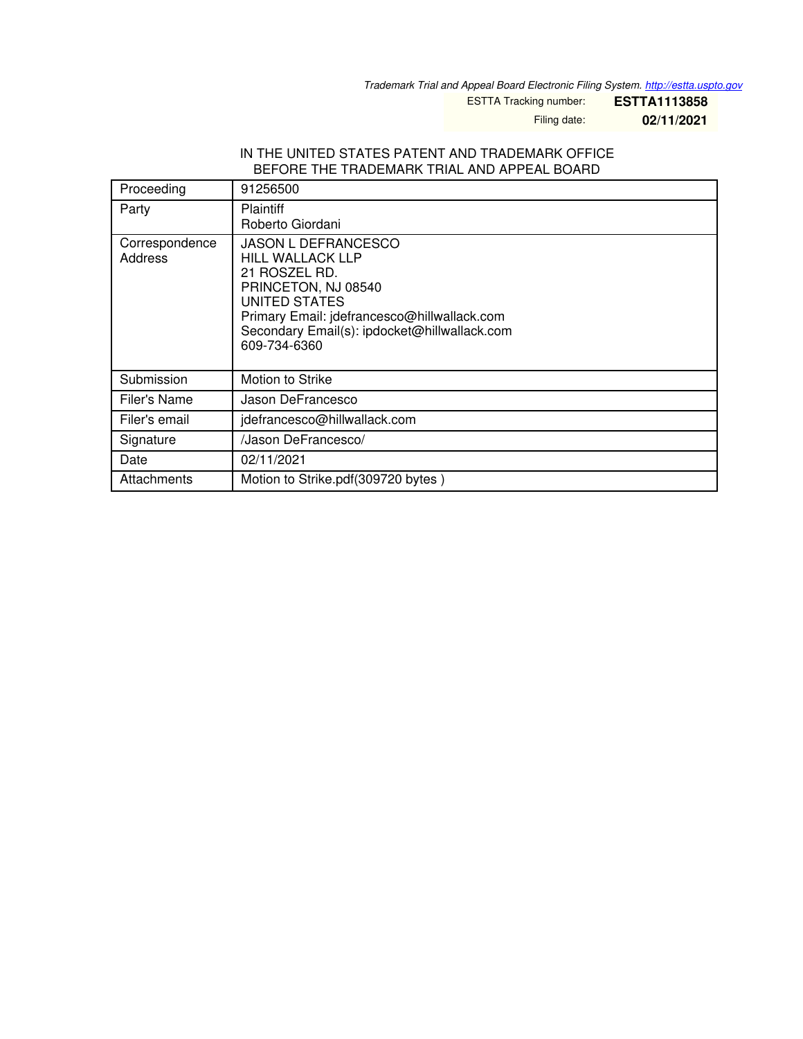*Trademark Trial and Appeal Board Electronic Filing System. <http://estta.uspto.gov>*

ESTTA Tracking number: **ESTTA1113858**

Filing date: **02/11/2021**

#### IN THE UNITED STATES PATENT AND TRADEMARK OFFICE BEFORE THE TRADEMARK TRIAL AND APPEAL BOARD

| Proceeding                | 91256500                                                                                                                                                                                                                      |
|---------------------------|-------------------------------------------------------------------------------------------------------------------------------------------------------------------------------------------------------------------------------|
| Party                     | <b>Plaintiff</b><br>Roberto Giordani                                                                                                                                                                                          |
| Correspondence<br>Address | <b>JASON L DEFRANCESCO</b><br><b>HILL WALLACK LLP</b><br>21 ROSZEL RD.<br>PRINCETON, NJ 08540<br>UNITED STATES<br>Primary Email: jdefrancesco@hillwallack.com<br>Secondary Email(s): ipdocket@hillwallack.com<br>609-734-6360 |
| Submission                | Motion to Strike                                                                                                                                                                                                              |
| Filer's Name              | Jason DeFrancesco                                                                                                                                                                                                             |
| Filer's email             | jdefrancesco@hillwallack.com                                                                                                                                                                                                  |
| Signature                 | /Jason DeFrancesco/                                                                                                                                                                                                           |
| Date                      | 02/11/2021                                                                                                                                                                                                                    |
| Attachments               | Motion to Strike.pdf(309720 bytes)                                                                                                                                                                                            |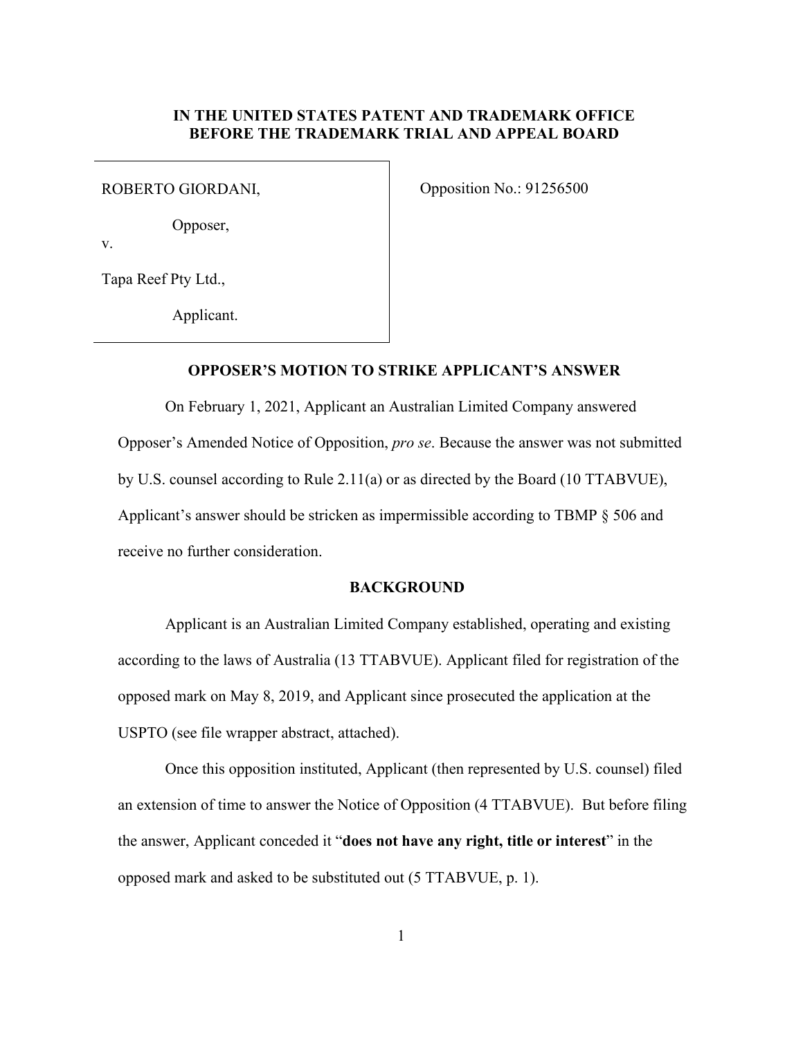## **IN THE UNITED STATES PATENT AND TRADEMARK OFFICE BEFORE THE TRADEMARK TRIAL AND APPEAL BOARD**

Opposer,

v.

Tapa Reef Pty Ltd.,

Applicant.

ROBERTO GIORDANI,  $O_{\text{prosition No.}:} 91256500$ 

## **OPPOSER'S MOTION TO STRIKE APPLICANT'S ANSWER**

 On February 1, 2021, Applicant an Australian Limited Company answered Opposer's Amended Notice of Opposition, *pro se*. Because the answer was not submitted by U.S. counsel according to Rule 2.11(a) or as directed by the Board (10 TTABVUE), Applicant's answer should be stricken as impermissible according to TBMP § 506 and receive no further consideration.

#### **BACKGROUND**

 Applicant is an Australian Limited Company established, operating and existing according to the laws of Australia (13 TTABVUE). Applicant filed for registration of the opposed mark on May 8, 2019, and Applicant since prosecuted the application at the USPTO (see file wrapper abstract, attached).

 Once this opposition instituted, Applicant (then represented by U.S. counsel) filed an extension of time to answer the Notice of Opposition (4 TTABVUE). But before filing the answer, Applicant conceded it "**does not have any right, title or interest**" in the opposed mark and asked to be substituted out (5 TTABVUE, p. 1).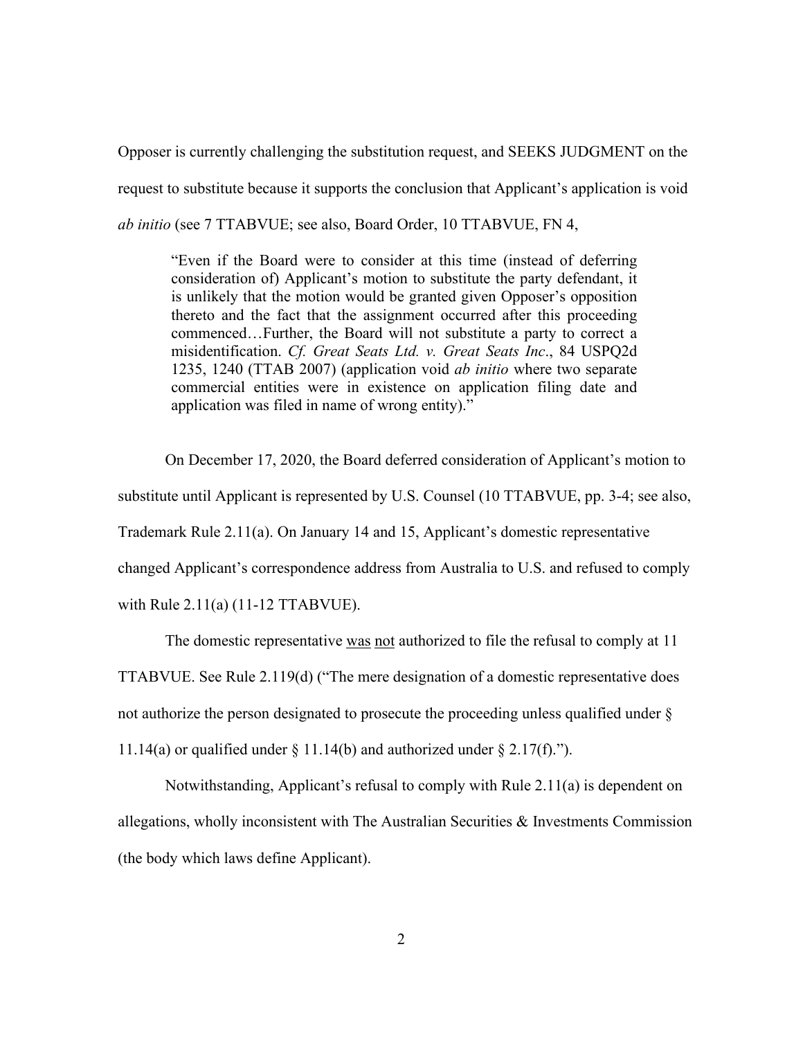Opposer is currently challenging the substitution request, and SEEKS JUDGMENT on the request to substitute because it supports the conclusion that Applicant's application is void *ab initio* (see 7 TTABVUE; see also, Board Order, 10 TTABVUE, FN 4,

"Even if the Board were to consider at this time (instead of deferring consideration of) Applicant's motion to substitute the party defendant, it is unlikely that the motion would be granted given Opposer's opposition thereto and the fact that the assignment occurred after this proceeding commenced…Further, the Board will not substitute a party to correct a misidentification. *Cf. Great Seats Ltd. v. Great Seats Inc*., 84 USPQ2d 1235, 1240 (TTAB 2007) (application void *ab initio* where two separate commercial entities were in existence on application filing date and application was filed in name of wrong entity)."

 On December 17, 2020, the Board deferred consideration of Applicant's motion to substitute until Applicant is represented by U.S. Counsel (10 TTABVUE, pp. 3-4; see also, Trademark Rule 2.11(a). On January 14 and 15, Applicant's domestic representative changed Applicant's correspondence address from Australia to U.S. and refused to comply with Rule 2.11(a) (11-12 TTABVUE).

 The domestic representative was not authorized to file the refusal to comply at 11 TTABVUE. See Rule 2.119(d) ("The mere designation of a domestic representative does not authorize the person designated to prosecute the proceeding unless qualified under § 11.14(a) or qualified under  $\S$  11.14(b) and authorized under  $\S$  2.17(f).").

 Notwithstanding, Applicant's refusal to comply with Rule 2.11(a) is dependent on allegations, wholly inconsistent with The Australian Securities & Investments Commission (the body which laws define Applicant).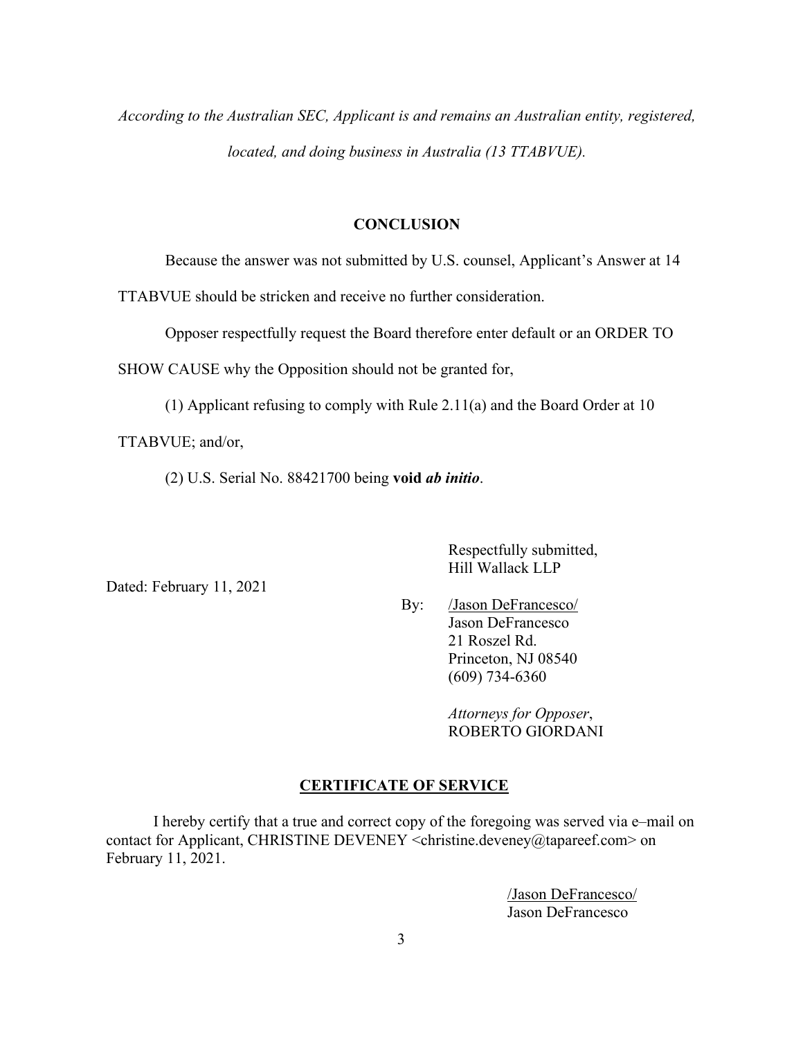*According to the Australian SEC, Applicant is and remains an Australian entity, registered, located, and doing business in Australia (13 TTABVUE).* 

## **CONCLUSION**

Because the answer was not submitted by U.S. counsel, Applicant's Answer at 14

TTABVUE should be stricken and receive no further consideration.

Opposer respectfully request the Board therefore enter default or an ORDER TO

SHOW CAUSE why the Opposition should not be granted for,

(1) Applicant refusing to comply with Rule 2.11(a) and the Board Order at 10

TTABVUE; and/or,

(2) U.S. Serial No. 88421700 being **void** *ab initio*.

Dated: February 11, 2021

 Respectfully submitted, Hill Wallack LLP

 By: /Jason DeFrancesco/ Jason DeFrancesco 21 Roszel Rd. Princeton, NJ 08540 (609) 734-6360

> *Attorneys for Opposer*, ROBERTO GIORDANI

#### **CERTIFICATE OF SERVICE**

I hereby certify that a true and correct copy of the foregoing was served via e–mail on contact for Applicant, CHRISTINE DEVENEY <christine.deveney@tapareef.com> on February 11, 2021.

> /Jason DeFrancesco/ Jason DeFrancesco